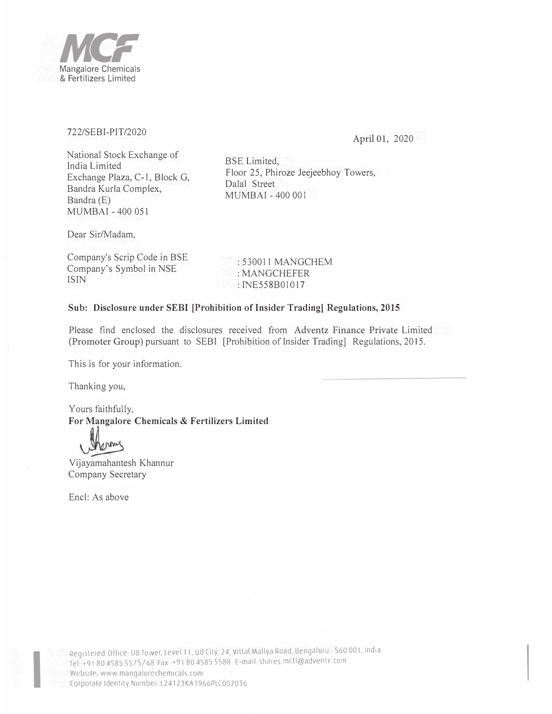

# 722/SEBI-PIT/2020

April 01, 2020

National Stock Exchange of India Limited Exchange Plaza, C-1, Block G, Bandra Kurla Complex, Bandra (E) **MUMBAI - 400 051** 

**BSE** Limited, Floor 25, Phiroze Jeejeebhoy Towers, Dalal Street **MUMBAI - 400 001** 

Dear Sir/Madam,

Company's Scrip Code in BSE Company's Symbol in NSE **ISIN** 

: 530011 MANGCHEM : MANGCHEFER  $: INE558B01017$ 

## Sub: Disclosure under SEBI [Prohibition of Insider Trading] Regulations, 2015

Please find enclosed the disclosures received from Adventz Finance Private Limited (Promoter Group) pursuant to SEBI [Prohibition of Insider Trading] Regulations, 2015.

This is for your information.

Thanking you,

Yours faithfully, For Mangalore Chemicals & Fertilizers Limited

enne

Vijayamahantesh Khannur Company Secretary

Encl: As above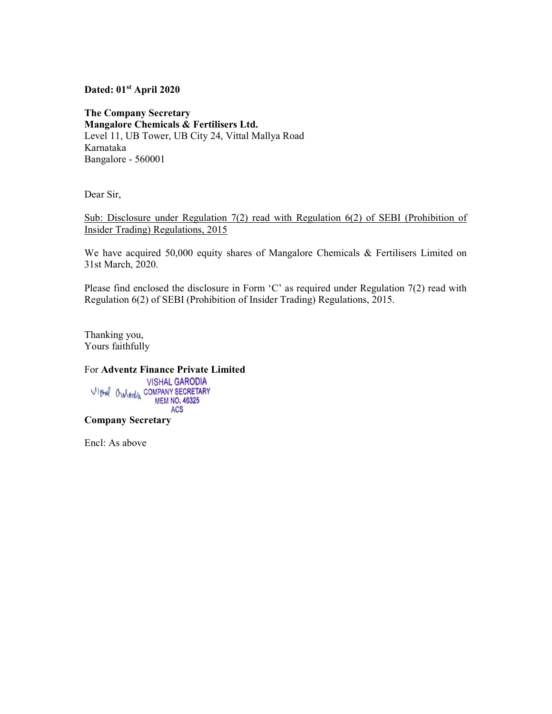## Dated: 01<sup>st</sup> April 2020

The Company Secretary Mangalore Chemicals & Fertilisers Ltd. Level 11, UB Tower, UB City 24, Vittal Mallya Road Karnataka Bangalore - 560001

Dear Sir,

Sub: Disclosure under Regulation 7(2) read with Regulation 6(2) of SEBI (Prohibition of Insider Trading) Regulations, 2015

We have acquired 50,000 equity shares of Mangalore Chemicals & Fertilisers Limited on 31st March, 2020.

Please find enclosed the disclosure in Form 'C' as required under Regulation 7(2) read with Regulation 6(2) of SEBI (Prohibition of Insider Trading) Regulations, 2015.

Thanking you, Yours faithfully

# For Adventz Finance Private Limited **VISHAL GARODIA** Vistal Oralodia COMPANY SECRETARY

**ACS** Company Secretary

Encl: As above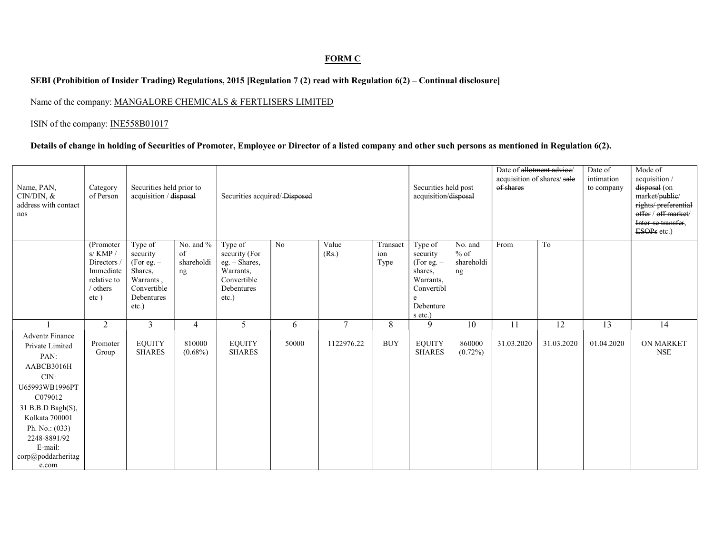# FORM C

## SEBI (Prohibition of Insider Trading) Regulations, 2015 [Regulation 7 (2) read with Regulation 6(2) – Continual disclosure]

# Name of the company: MANGALORE CHEMICALS & FERTLISERS LIMITED

#### ISIN of the company: INE558B01017

#### Details of change in holding of Securities of Promoter, Employee or Director of a listed company and other such persons as mentioned in Regulation 6(2).

| Name, PAN,<br>CIN/DIN, &<br>address with contact<br>nos                                                                                                                                                                   | Category<br>of Person                                                                 | Securities held prior to<br>acquisition / disposal                                                |                                        | Securities acquired/-Disposed                                                                   |       |                |                         | Securities held post<br>acquisition/disposal                                                           |                                       | Date of allotment advice/<br>acquisition of shares/sale<br>of shares |            | Date of<br>intimation<br>to company | Mode of<br>acquisition /<br>disposal (on<br>market/public/<br>rights/preferential<br>offer / off market/<br>Inter-se transfer,<br>ESOPs etc.) |
|---------------------------------------------------------------------------------------------------------------------------------------------------------------------------------------------------------------------------|---------------------------------------------------------------------------------------|---------------------------------------------------------------------------------------------------|----------------------------------------|-------------------------------------------------------------------------------------------------|-------|----------------|-------------------------|--------------------------------------------------------------------------------------------------------|---------------------------------------|----------------------------------------------------------------------|------------|-------------------------------------|-----------------------------------------------------------------------------------------------------------------------------------------------|
|                                                                                                                                                                                                                           | (Promoter<br>s/KMP/<br>Directors /<br>Immediate<br>relative to<br>/ others<br>$etc$ ) | Type of<br>security<br>(For eg. $-$<br>Shares,<br>Warrants,<br>Convertible<br>Debentures<br>etc.) | No. and $\%$<br>of<br>shareholdi<br>ng | Type of<br>security (For<br>eg. - Shares,<br>Warrants,<br>Convertible<br>Debentures<br>$etc.$ ) | No    | Value<br>(Rs.) | Transact<br>ion<br>Type | Type of<br>security<br>(For eg. $-$<br>shares,<br>Warrants,<br>Convertibl<br>e<br>Debenture<br>s etc.) | No. and<br>$%$ of<br>shareholdi<br>ng | From                                                                 | To         |                                     |                                                                                                                                               |
|                                                                                                                                                                                                                           | 2                                                                                     | $\mathfrak{Z}$                                                                                    | 4                                      | 5                                                                                               | 6     | 7              | 8                       | 9                                                                                                      | $10\,$                                | 11                                                                   | 12         | 13                                  | 14                                                                                                                                            |
| <b>Adventz Finance</b><br>Private Limited<br>PAN:<br>AABCB3016H<br>CIN:<br>U65993WB1996PT<br>C079012<br>31 B.B.D Bagh(S),<br>Kolkata 700001<br>Ph. No.: $(033)$<br>2248-8891/92<br>E-mail:<br>corp@poddarheritag<br>e.com | Promoter<br>Group                                                                     | <b>EQUITY</b><br><b>SHARES</b>                                                                    | 810000<br>$(0.68\%)$                   | <b>EQUITY</b><br><b>SHARES</b>                                                                  | 50000 | 1122976.22     | <b>BUY</b>              | <b>EQUITY</b><br><b>SHARES</b>                                                                         | 860000<br>$(0.72\%)$                  | 31.03.2020                                                           | 31.03.2020 | 01.04.2020                          | <b>ON MARKET</b><br><b>NSE</b>                                                                                                                |